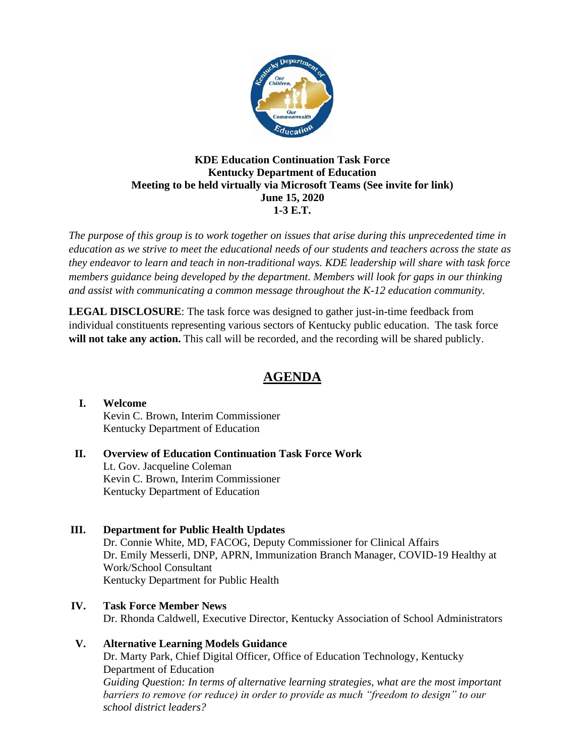

#### **KDE Education Continuation Task Force Kentucky Department of Education Meeting to be held virtually via Microsoft Teams (See invite for link) June 15, 2020 1-3 E.T.**

*The purpose of this group is to work together on issues that arise during this unprecedented time in education as we strive to meet the educational needs of our students and teachers across the state as they endeavor to learn and teach in non-traditional ways. KDE leadership will share with task force members guidance being developed by the department. Members will look for gaps in our thinking and assist with communicating a common message throughout the K-12 education community.*

**LEGAL DISCLOSURE**: The task force was designed to gather just-in-time feedback from individual constituents representing various sectors of Kentucky public education. The task force will not take any action. This call will be recorded, and the recording will be shared publicly.

# **AGENDA**

#### **I. Welcome** Kevin C. Brown, Interim Commissioner Kentucky Department of Education

#### **II. Overview of Education Continuation Task Force Work** Lt. Gov. Jacqueline Coleman Kevin C. Brown, Interim Commissioner Kentucky Department of Education

#### **III. Department for Public Health Updates** Dr. Connie White, MD, FACOG, Deputy Commissioner for Clinical Affairs Dr. Emily Messerli, DNP, APRN, Immunization Branch Manager, COVID-19 Healthy at Work/School Consultant Kentucky Department for Public Health

## **IV. Task Force Member News** Dr. Rhonda Caldwell, Executive Director, Kentucky Association of School Administrators

# **V. Alternative Learning Models Guidance**

Dr. Marty Park, Chief Digital Officer, Office of Education Technology, Kentucky Department of Education *Guiding Question: In terms of alternative learning strategies, what are the most important barriers to remove (or reduce) in order to provide as much "freedom to design" to our school district leaders?*